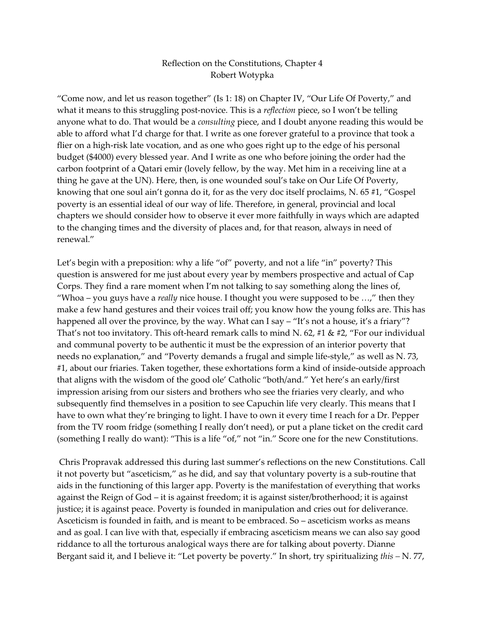## Reflection on the Constitutions, Chapter 4 Robert Wotypka

"Come now, and let us reason together" (Is 1: 18) on Chapter IV, "Our Life Of Poverty," and what it means to this struggling post-novice. This is a *reflection* piece, so I won't be telling anyone what to do. That would be a *consulting* piece, and I doubt anyone reading this would be able to afford what I'd charge for that. I write as one forever grateful to a province that took a flier on a high-risk late vocation, and as one who goes right up to the edge of his personal budget (\$4000) every blessed year. And I write as one who before joining the order had the carbon footprint of a Qatari emir (lovely fellow, by the way. Met him in a receiving line at a thing he gave at the UN). Here, then, is one wounded soul's take on Our Life Of Poverty, knowing that one soul ain't gonna do it, for as the very doc itself proclaims, N. 65 #1, "Gospel poverty is an essential ideal of our way of life. Therefore, in general, provincial and local chapters we should consider how to observe it ever more faithfully in ways which are adapted to the changing times and the diversity of places and, for that reason, always in need of renewal."

Let's begin with a preposition: why a life "of" poverty, and not a life "in" poverty? This question is answered for me just about every year by members prospective and actual of Cap Corps. They find a rare moment when I'm not talking to say something along the lines of, "Whoa – you guys have a *really* nice house. I thought you were supposed to be …," then they make a few hand gestures and their voices trail off; you know how the young folks are. This has happened all over the province, by the way. What can I say – "It's not a house, it's a friary"? That's not too invitatory. This oft-heard remark calls to mind N. 62, #1 & #2, "For our individual and communal poverty to be authentic it must be the expression of an interior poverty that needs no explanation," and "Poverty demands a frugal and simple life-style," as well as N. 73, #1, about our friaries. Taken together, these exhortations form a kind of inside-outside approach that aligns with the wisdom of the good ole' Catholic "both/and." Yet here's an early/first impression arising from our sisters and brothers who see the friaries very clearly, and who subsequently find themselves in a position to see Capuchin life very clearly. This means that I have to own what they're bringing to light. I have to own it every time I reach for a Dr. Pepper from the TV room fridge (something I really don't need), or put a plane ticket on the credit card (something I really do want): "This is a life "of," not "in." Score one for the new Constitutions.

 Chris Propravak addressed this during last summer's reflections on the new Constitutions. Call it not poverty but "asceticism," as he did, and say that voluntary poverty is a sub-routine that aids in the functioning of this larger app. Poverty is the manifestation of everything that works against the Reign of God – it is against freedom; it is against sister/brotherhood; it is against justice; it is against peace. Poverty is founded in manipulation and cries out for deliverance. Asceticism is founded in faith, and is meant to be embraced. So – asceticism works as means and as goal. I can live with that, especially if embracing asceticism means we can also say good riddance to all the torturous analogical ways there are for talking about poverty. Dianne Bergant said it, and I believe it: "Let poverty be poverty." In short, try spiritualizing *this –* N. 77,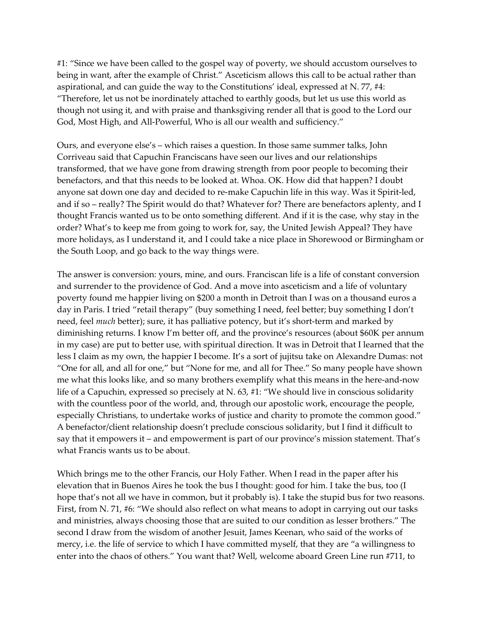#1: "Since we have been called to the gospel way of poverty, we should accustom ourselves to being in want, after the example of Christ." Asceticism allows this call to be actual rather than aspirational, and can guide the way to the Constitutions' ideal, expressed at N. 77, #4: "Therefore, let us not be inordinately attached to earthly goods, but let us use this world as though not using it, and with praise and thanksgiving render all that is good to the Lord our God, Most High, and All-Powerful, Who is all our wealth and sufficiency."

Ours, and everyone else's – which raises a question. In those same summer talks, John Corriveau said that Capuchin Franciscans have seen our lives and our relationships transformed, that we have gone from drawing strength from poor people to becoming their benefactors, and that this needs to be looked at. Whoa. OK. How did that happen? I doubt anyone sat down one day and decided to re-make Capuchin life in this way. Was it Spirit-led, and if so – really? The Spirit would do that? Whatever for? There are benefactors aplenty, and I thought Francis wanted us to be onto something different. And if it is the case, why stay in the order? What's to keep me from going to work for, say, the United Jewish Appeal? They have more holidays, as I understand it, and I could take a nice place in Shorewood or Birmingham or the South Loop, and go back to the way things were.

The answer is conversion: yours, mine, and ours. Franciscan life is a life of constant conversion and surrender to the providence of God. And a move into asceticism and a life of voluntary poverty found me happier living on \$200 a month in Detroit than I was on a thousand euros a day in Paris. I tried "retail therapy" (buy something I need, feel better; buy something I don't need, feel *much* better); sure, it has palliative potency, but it's short-term and marked by diminishing returns. I know I'm better off, and the province's resources (about \$60K per annum in my case) are put to better use, with spiritual direction. It was in Detroit that I learned that the less I claim as my own, the happier I become. It's a sort of jujitsu take on Alexandre Dumas: not "One for all, and all for one," but "None for me, and all for Thee." So many people have shown me what this looks like, and so many brothers exemplify what this means in the here-and-now life of a Capuchin, expressed so precisely at N. 63, #1: "We should live in conscious solidarity with the countless poor of the world, and, through our apostolic work, encourage the people, especially Christians, to undertake works of justice and charity to promote the common good." A benefactor/client relationship doesn't preclude conscious solidarity, but I find it difficult to say that it empowers it – and empowerment is part of our province's mission statement. That's what Francis wants us to be about.

Which brings me to the other Francis, our Holy Father. When I read in the paper after his elevation that in Buenos Aires he took the bus I thought: good for him. I take the bus, too (I hope that's not all we have in common, but it probably is). I take the stupid bus for two reasons. First, from N. 71, #6: "We should also reflect on what means to adopt in carrying out our tasks and ministries, always choosing those that are suited to our condition as lesser brothers." The second I draw from the wisdom of another Jesuit, James Keenan, who said of the works of mercy, i.e. the life of service to which I have committed myself, that they are "a willingness to enter into the chaos of others." You want that? Well, welcome aboard Green Line run #711, to